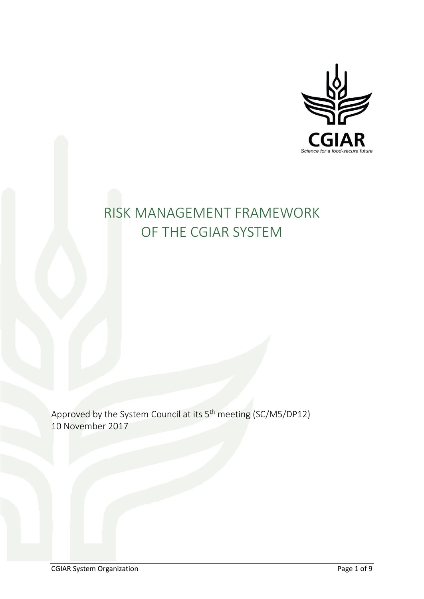

# RISK MANAGEMENT FRAMEWORK OF THE CGIAR SYSTEM

Approved by the System Council at its 5<sup>th</sup> meeting (SC/M5/DP12) 10 November 2017

CGIAR System Organization Page 1 of 9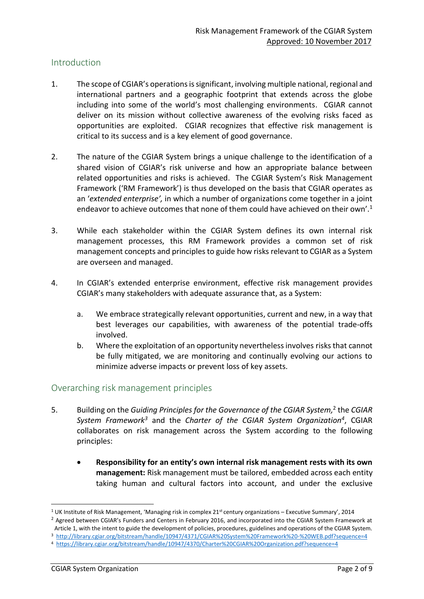## Introduction

- 1. The scope of CGIAR's operations is significant, involving multiple national, regional and international partners and a geographic footprint that extends across the globe including into some of the world's most challenging environments. CGIAR cannot deliver on its mission without collective awareness of the evolving risks faced as opportunities are exploited. CGIAR recognizes that effective risk management is critical to its success and is a key element of good governance.
- 2. The nature of the CGIAR System brings a unique challenge to the identification of a shared vision of CGIAR's risk universe and how an appropriate balance between related opportunities and risks is achieved. The CGIAR System's Risk Management Framework ('RM Framework') is thus developed on the basis that CGIAR operates as an '*extended enterprise',* in which a number of organizations come together in a joint endeavor to achieve outcomes that none of them could have achieved on their own'.<sup>1</sup>
- 3. While each stakeholder within the CGIAR System defines its own internal risk management processes, this RM Framework provides a common set of risk management concepts and principles to guide how risks relevant to CGIAR as a System are overseen and managed.
- 4. In CGIAR's extended enterprise environment, effective risk management provides CGIAR's many stakeholders with adequate assurance that, as a System:
	- a. We embrace strategically relevant opportunities, current and new, in a way that best leverages our capabilities, with awareness of the potential trade-offs involved.
	- b. Where the exploitation of an opportunity nevertheless involves risks that cannot be fully mitigated, we are monitoring and continually evolving our actions to minimize adverse impacts or prevent loss of key assets.

## Overarching risk management principles

- 5. Building on the *Guiding Principles for the Governance of the CGIAR System*,<sup>2</sup> the CGIAR *System Framework<sup>3</sup>* and the *Charter of the CGIAR System Organization<sup>4</sup>* , CGIAR collaborates on risk management across the System according to the following principles:
	- **Responsibility for an entity's own internal risk management rests with its own management:** Risk management must be tailored, embedded across each entity taking human and cultural factors into account, and under the exclusive

**.** 

<sup>1</sup> UK Institute of Risk Management, 'Managing risk in complex 21st century organizations – Executive Summary', 2014

<sup>&</sup>lt;sup>2</sup> Agreed between CGIAR's Funders and Centers in February 2016, and incorporated into the CGIAR System Framework at Article 1, with the intent to guide the development of policies, procedures, guidelines and operations of the CGIAR System.

<sup>3</sup> <http://library.cgiar.org/bitstream/handle/10947/4371/CGIAR%20System%20Framework%20-%20WEB.pdf?sequence=4>

<sup>4</sup> <https://library.cgiar.org/bitstream/handle/10947/4370/Charter%20CGIAR%20Organization.pdf?sequence=4>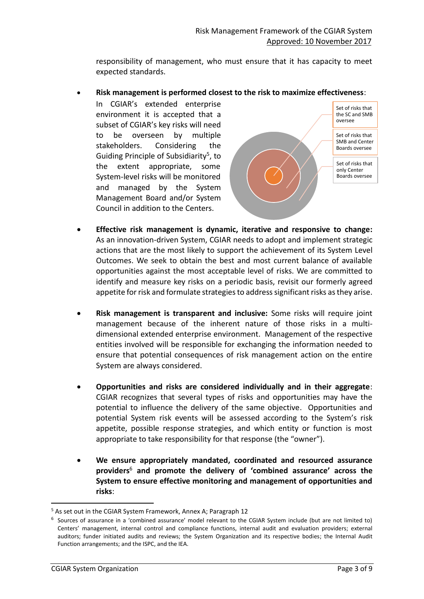responsibility of management, who must ensure that it has capacity to meet expected standards.

• **Risk management is performed closest to the risk to maximize effectiveness**:

In CGIAR's extended enterprise environment it is accepted that a subset of CGIAR's key risks will need to be overseen by multiple stakeholders. Considering the Guiding Principle of Subsidiarity<sup>5</sup>, to the extent appropriate, some System-level risks will be monitored and managed by the System Management Board and/or System Council in addition to the Centers.



- **Effective risk management is dynamic, iterative and responsive to change:**  As an innovation-driven System, CGIAR needs to adopt and implement strategic actions that are the most likely to support the achievement of its System Level Outcomes. We seek to obtain the best and most current balance of available opportunities against the most acceptable level of risks. We are committed to identify and measure key risks on a periodic basis, revisit our formerly agreed appetite forrisk and formulate strategies to address significant risks as they arise.
- **Risk management is transparent and inclusive:** Some risks will require joint management because of the inherent nature of those risks in a multidimensional extended enterprise environment. Management of the respective entities involved will be responsible for exchanging the information needed to ensure that potential consequences of risk management action on the entire System are always considered.
- **Opportunities and risks are considered individually and in their aggregate**: CGIAR recognizes that several types of risks and opportunities may have the potential to influence the delivery of the same objective. Opportunities and potential System risk events will be assessed according to the System's risk appetite, possible response strategies, and which entity or function is most appropriate to take responsibility for that response (the "owner").
- **We ensure appropriately mandated, coordinated and resourced assurance providers**<sup>6</sup> **and promote the delivery of 'combined assurance' across the System to ensure effective monitoring and management of opportunities and risks**:

**.** 

<sup>&</sup>lt;sup>5</sup> As set out in the CGIAR System Framework, Annex A; Paragraph 12

<sup>6</sup> Sources of assurance in a 'combined assurance' model relevant to the CGIAR System include (but are not limited to) Centers' management, internal control and compliance functions, internal audit and evaluation providers; external auditors; funder initiated audits and reviews; the System Organization and its respective bodies; the Internal Audit Function arrangements; and the ISPC, and the IEA.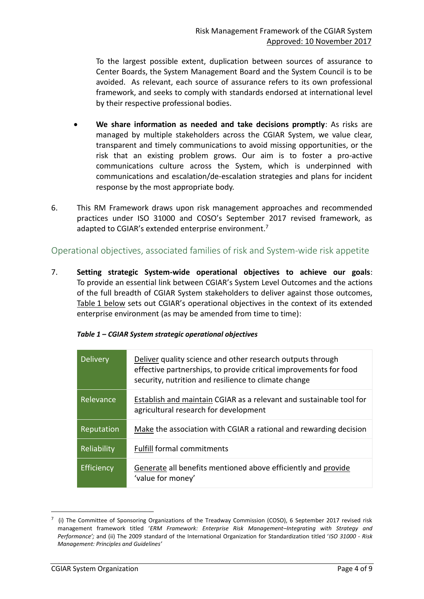To the largest possible extent, duplication between sources of assurance to Center Boards, the System Management Board and the System Council is to be avoided. As relevant, each source of assurance refers to its own professional framework, and seeks to comply with standards endorsed at international level by their respective professional bodies.

- **We share information as needed and take decisions promptly**: As risks are managed by multiple stakeholders across the CGIAR System, we value clear, transparent and timely communications to avoid missing opportunities, or the risk that an existing problem grows. Our aim is to foster a pro-active communications culture across the System, which is underpinned with communications and escalation/de-escalation strategies and plans for incident response by the most appropriate body.
- 6. This RM Framework draws upon risk management approaches and recommended practices under ISO 31000 and COSO's September 2017 revised framework, as adapted to CGIAR's extended enterprise environment.<sup>7</sup>

## Operational objectives, associated families of risk and System-wide risk appetite

7. **Setting strategic System-wide operational objectives to achieve our goals**: To provide an essential link between CGIAR's System Level Outcomes and the actions of the full breadth of CGIAR System stakeholders to deliver against those outcomes, Table 1 below sets out CGIAR's operational objectives in the context of its extended enterprise environment (as may be amended from time to time):

| <b>Delivery</b> | Deliver quality science and other research outputs through<br>effective partnerships, to provide critical improvements for food<br>security, nutrition and resilience to climate change |
|-----------------|-----------------------------------------------------------------------------------------------------------------------------------------------------------------------------------------|
| Relevance       | Establish and maintain CGIAR as a relevant and sustainable tool for<br>agricultural research for development                                                                            |
| Reputation      | Make the association with CGIAR a rational and rewarding decision                                                                                                                       |
| Reliability     | <b>Fulfill formal commitments</b>                                                                                                                                                       |
| Efficiency      | Generate all benefits mentioned above efficiently and provide<br>'value for money'                                                                                                      |

1

 $^7$  (i) The Committee of Sponsoring Organizations of the Treadway Commission (COSO), 6 September 2017 revised risk management framework titled '*ERM Framework: Enterprise Risk Management–Integrating with Strategy and Performance';* and (ii) The 2009 standard of the International Organization for Standardization titled '*ISO 31000 - Risk Management: Principles and Guidelines'*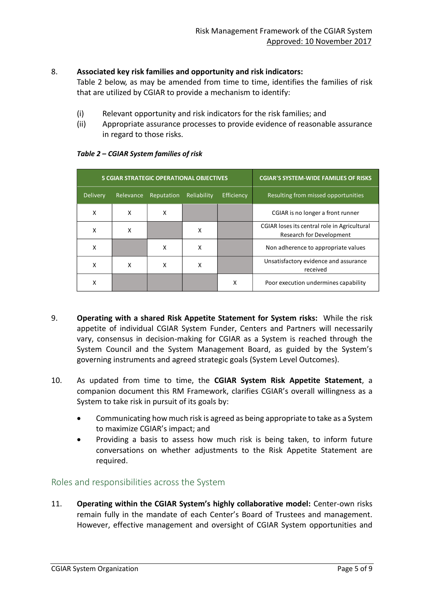## 8. **Associated key risk families and opportunity and risk indicators:**

Table 2 below, as may be amended from time to time, identifies the families of risk that are utilized by CGIAR to provide a mechanism to identify:

- (i) Relevant opportunity and risk indicators for the risk families; and
- (ii) Appropriate assurance processes to provide evidence of reasonable assurance in regard to those risks.

| <b>5 CGIAR STRATEGIC OPERATIONAL OBJECTIVES</b> |           |            |             | <b>CGIAR'S SYSTEM-WIDE FAMILIES OF RISKS</b> |                                                                          |
|-------------------------------------------------|-----------|------------|-------------|----------------------------------------------|--------------------------------------------------------------------------|
| Delivery                                        | Relevance | Reputation | Reliability | Efficiency                                   | Resulting from missed opportunities                                      |
| X                                               | X         | X          |             |                                              | CGIAR is no longer a front runner                                        |
| x                                               | x         |            | x           |                                              | CGIAR loses its central role in Agricultural<br>Research for Development |
| x                                               |           | x          | x           |                                              | Non adherence to appropriate values                                      |
| x                                               | X         | X          | X           |                                              | Unsatisfactory evidence and assurance<br>received                        |
| x                                               |           |            |             | X                                            | Poor execution undermines capability                                     |

#### *Table 2 – CGIAR System families of risk*

- 9. **Operating with a shared Risk Appetite Statement for System risks:** While the risk appetite of individual CGIAR System Funder, Centers and Partners will necessarily vary, consensus in decision-making for CGIAR as a System is reached through the System Council and the System Management Board, as guided by the System's governing instruments and agreed strategic goals (System Level Outcomes).
- 10. As updated from time to time, the **CGIAR System Risk Appetite Statement**, a companion document this RM Framework, clarifies CGIAR's overall willingness as a System to take risk in pursuit of its goals by:
	- Communicating how much risk is agreed as being appropriate to take as a System to maximize CGIAR's impact; and
	- Providing a basis to assess how much risk is being taken, to inform future conversations on whether adjustments to the Risk Appetite Statement are required.

# Roles and responsibilities across the System

11. **Operating within the CGIAR System's highly collaborative model:** Center-own risks remain fully in the mandate of each Center's Board of Trustees and management. However, effective management and oversight of CGIAR System opportunities and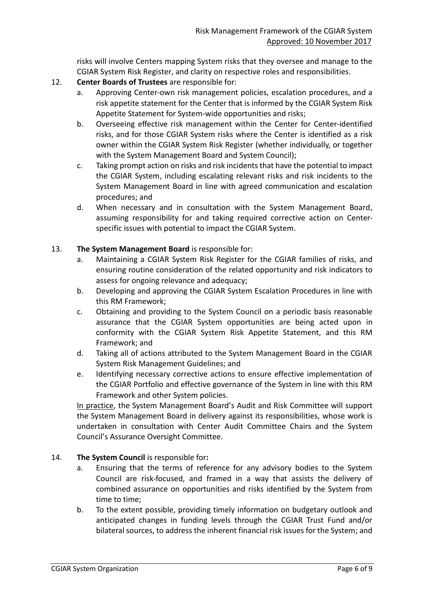risks will involve Centers mapping System risks that they oversee and manage to the CGIAR System Risk Register, and clarity on respective roles and responsibilities.

- 12. **Center Boards of Trustees** are responsible for:
	- a. Approving Center-own risk management policies, escalation procedures, and a risk appetite statement for the Center that is informed by the CGIAR System Risk Appetite Statement for System-wide opportunities and risks;
	- b. Overseeing effective risk management within the Center for Center-identified risks, and for those CGIAR System risks where the Center is identified as a risk owner within the CGIAR System Risk Register (whether individually, or together with the System Management Board and System Council);
	- c. Taking prompt action on risks and risk incidents that have the potential to impact the CGIAR System, including escalating relevant risks and risk incidents to the System Management Board in line with agreed communication and escalation procedures; and
	- d. When necessary and in consultation with the System Management Board, assuming responsibility for and taking required corrective action on Centerspecific issues with potential to impact the CGIAR System.

#### 13. **The System Management Board** is responsible for:

- a. Maintaining a CGIAR System Risk Register for the CGIAR families of risks, and ensuring routine consideration of the related opportunity and risk indicators to assess for ongoing relevance and adequacy;
- b. Developing and approving the CGIAR System Escalation Procedures in line with this RM Framework;
- c. Obtaining and providing to the System Council on a periodic basis reasonable assurance that the CGIAR System opportunities are being acted upon in conformity with the CGIAR System Risk Appetite Statement, and this RM Framework; and
- d. Taking all of actions attributed to the System Management Board in the CGIAR System Risk Management Guidelines; and
- e. Identifying necessary corrective actions to ensure effective implementation of the CGIAR Portfolio and effective governance of the System in line with this RM Framework and other System policies.

In practice, the System Management Board's Audit and Risk Committee will support the System Management Board in delivery against its responsibilities, whose work is undertaken in consultation with Center Audit Committee Chairs and the System Council's Assurance Oversight Committee.

- 14. **The System Council** is responsible for**:**
	- a. Ensuring that the terms of reference for any advisory bodies to the System Council are risk-focused, and framed in a way that assists the delivery of combined assurance on opportunities and risks identified by the System from time to time;
	- b. To the extent possible, providing timely information on budgetary outlook and anticipated changes in funding levels through the CGIAR Trust Fund and/or bilateral sources, to address the inherent financial risk issues for the System; and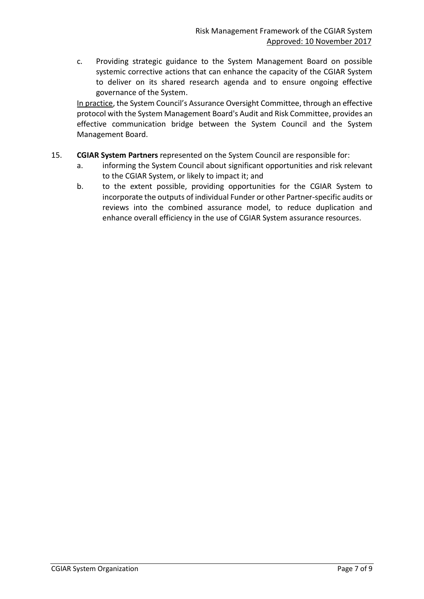c. Providing strategic guidance to the System Management Board on possible systemic corrective actions that can enhance the capacity of the CGIAR System to deliver on its shared research agenda and to ensure ongoing effective governance of the System.

In practice, the System Council's Assurance Oversight Committee, through an effective protocol with the System Management Board's Audit and Risk Committee, provides an effective communication bridge between the System Council and the System Management Board.

- 15. **CGIAR System Partners** represented on the System Council are responsible for:
	- a. informing the System Council about significant opportunities and risk relevant to the CGIAR System, or likely to impact it; and
	- b. to the extent possible, providing opportunities for the CGIAR System to incorporate the outputs of individual Funder or other Partner-specific audits or reviews into the combined assurance model, to reduce duplication and enhance overall efficiency in the use of CGIAR System assurance resources.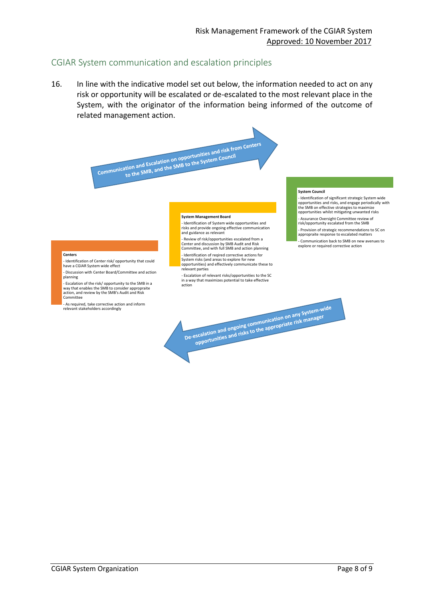## CGIAR System communication and escalation principles

16. In line with the indicative model set out below, the information needed to act on any risk or opportunity will be escalated or de-escalated to the most relevant place in the System, with the originator of the information being informed of the outcome of related management action.